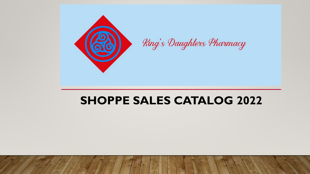

# **SHOPPE SALES CATALOG 2022**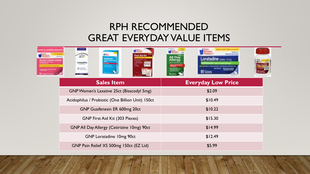#### RPH RECOMMENDED GREAT EVERYDAY VALUE ITEMS

| on sensitive stomes | First Aid Kit<br>Guailenesin<br><sup>Christopher</sup><br>Ackdophilus<br>$0 = -$ | 90 Toblet                 |
|---------------------|----------------------------------------------------------------------------------|---------------------------|
|                     | <b>Sales Item</b>                                                                | <b>Everyday Low Price</b> |
|                     | GNP Women's Laxative 25ct (Bisacodyl 5mg)                                        | \$2.09                    |
|                     | Acidophilus / Probiotic (One Billion Unit) 150ct                                 | \$10.49                   |
|                     | GNP Guaifenesin ER 600mg 20ct                                                    | \$10.22                   |
|                     | <b>GNP First Aid Kit (303 Pieces)</b>                                            | \$15.30                   |
|                     | <b>GNP All Day Allergy (Cetirizine 10mg) 90ct</b>                                | \$14.99                   |
|                     | <b>GNP Loratadine 10mg 90ct</b>                                                  | \$12.49                   |
|                     | GNP Pain Relief XS 500mg 150ct (EZ Lid)                                          | \$5.99                    |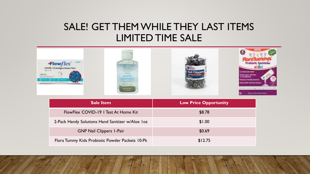#### SALE! GET THEM WHILE THEY LAST ITEMS LIMITED TIME SALE



| <b>Sale Item</b>                                 | <b>Low Price Opportunity</b> |
|--------------------------------------------------|------------------------------|
| FlowFlex COVID-19   Test At Home Kit             | \$8.78                       |
| 2-Pack Handy Solutions Hand Sanitizer w/Aloe Ioz | \$1.00                       |
| <b>GNP Nail Clippers I-Pair</b>                  | \$0.69                       |
| Flora Tummy Kids Probiotic Powder Packets 10-Pk  | \$12.75                      |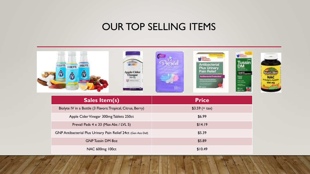#### OUR TOP SELLING ITEMS

| BIOLYTE: BIOLYTE<br><b>GIOLYTE</b><br>ĺŨ<br>⋒                 | <b>NEIGHBOR</b><br>lussin<br>Antibacterial<br><b>Plus Urinary</b><br><b>Pain Relief</b><br><b>Antibacterial Protection</b><br>teips Escatul Ula Informac<br>Yootalaa General Pain Foliet<br>2411 |  |
|---------------------------------------------------------------|--------------------------------------------------------------------------------------------------------------------------------------------------------------------------------------------------|--|
| <b>Sales Item(s)</b>                                          | <b>Price</b>                                                                                                                                                                                     |  |
| Biolyte IV in a Bottle (3 Flavors: Tropical, Citrus, Berry)   | $$3.59$ (+ tax)                                                                                                                                                                                  |  |
| Apple Cider Vinegar 300mg Tablets 250ct                       | \$6.99                                                                                                                                                                                           |  |
| Prevail Pads $4 \times 33$ (Max Abs / LVL 5)                  | \$14.19                                                                                                                                                                                          |  |
| GNP Antibacterial Plus Urinary Pain Relief 24ct (Gen Azo Def) | \$5.39                                                                                                                                                                                           |  |
| <b>GNP Tussin DM 8oz</b>                                      | \$5.89                                                                                                                                                                                           |  |
| NAC 600mg 100ct                                               | \$10.49                                                                                                                                                                                          |  |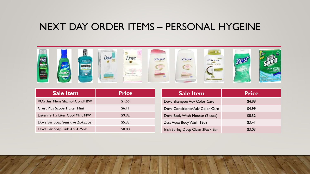#### NEXT DAY ORDER ITEMS – PERSONAL HYGEINE



| <b>Sale Item</b>                 | <b>Price</b> |    |
|----------------------------------|--------------|----|
| VO5 3in I Mens Shamp+Cond+BW     | \$1.55       |    |
| Crest Plus Scope   Liter Mint    | \$6.11       |    |
| Listerine 1.5 Liter Cool Mint MW | \$9.92       |    |
| Dove Bar Soap Sensitive 2x4.25oz | \$5.33       | 7  |
| Dove Bar Soap Pink 4 x 4.25oz    | \$8.88       | Ir |

| <b>Sale Item</b>                  | <b>Price</b> |
|-----------------------------------|--------------|
| Dove Shampoo Adv Color Care       | \$4.99       |
| Dove Conditioner Adv Color Care   | \$4.99       |
| Dove Body Wash Mousse (2 uses)    | \$8.52       |
| Zest Aqua Body Wash 180z          | \$3.41       |
| Irish Spring Deep Clean 3Pack Bar | \$3.03       |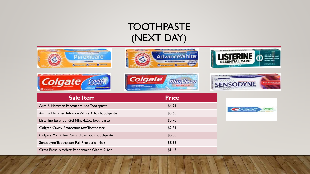## TOOTHPASTE (NEXT DAY)













| <b>Sale Item</b>                              | <b>Price</b> |
|-----------------------------------------------|--------------|
| Arm & Hammer Peroxicare 60z Toothpaste        | \$4.91       |
| Arm & Hammer Advance White 4.3oz Toothpaste   | \$3.60       |
| Listerine Essential Gel Mint 4.2oz Toothpaste | \$5.70       |
| Colgate Cavity Protection 60z Toothpaste      | \$2.81       |
| Colgate Max Clean SmartFoam 60z Toothpaste    | \$5.30       |
| Sensodyne Toothpaste Full Protection 4oz      | \$8.39       |
| Crest Fresh & White Peppermint Gleem 2.4oz    | \$1.43       |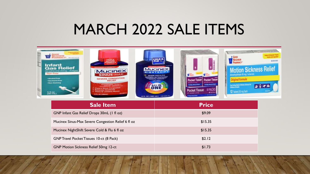# MARCH 2022 SALE ITEMS

| <b>The Moore Company</b><br>GOOD<br><b>NEIGHBOR</b><br>PHARMACY®<br>4404140403-047-02<br><b>Tillderal</b><br><b>Infant</b><br><b>Gas Relief</b><br>Similiticone 20mg - Antiges<br>Dye-Free<br>- Alcohol Free<br>- Seccharin Free<br>- Non-Staining<br><b>O</b><br>38 %이 | TRIPLE<br>ACTION<br>ORMULA<br><b>SUDADE2</b><br><b>CARD STATE OF A</b><br><b>NAMES OF PERSONS IN TAXABLE PARTIES</b><br><b>Mucinex</b><br>SINUS-MAX-<br><b>SEVERE CONGESTION</b><br>RELIEF<br><b>Australian Communication</b><br><b>Clears Sinus Congestion</b><br>Retieves Headache<br>Thins & Loosens Mucus<br><b>CONTRACTOR</b><br><b>G.FL. OZ CIRRINLS</b> | FRU <sup>e</sup><br>Shere23.<br><b>WA CONGER STREETS</b><br><b>Mucinex</b><br><b>NIGHTSHIFT.</b><br>SEVENE COLD & FLU<br>ONE<br>671.02 (180 mL) resears P- | Pocket Tissue   Pocket Tissue<br><b>Advertisement</b><br><b>IT USE a model</b><br>For Budg Search & Month<br>for Arts, Renty & Row<br><b>SPACKS</b><br><b>Pocket Tissue</b><br><b>10</b> July Ban<br><b>CIFT-AGOSINES</b> SURFITAR<br><b>GAR LEAST SERVICE SPRING</b><br>For States, Denvery & History | <b>WINGHILDER</b><br>$-2\lambda$<br>$*$ Good<br>直接導<br>dimenty dringto 50 mg/ antennic<br><b>Iriginal Formul</b><br>Part Arting Nelof of Notice Sciences<br>石目中雨<br>O Aire & Addit<br>12 Tabiets 50 mg Each |
|-------------------------------------------------------------------------------------------------------------------------------------------------------------------------------------------------------------------------------------------------------------------------|----------------------------------------------------------------------------------------------------------------------------------------------------------------------------------------------------------------------------------------------------------------------------------------------------------------------------------------------------------------|------------------------------------------------------------------------------------------------------------------------------------------------------------|--------------------------------------------------------------------------------------------------------------------------------------------------------------------------------------------------------------------------------------------------------------------------------------------------------|-------------------------------------------------------------------------------------------------------------------------------------------------------------------------------------------------------------|
|                                                                                                                                                                                                                                                                         | Cala Liama                                                                                                                                                                                                                                                                                                                                                     |                                                                                                                                                            | $D = 2$                                                                                                                                                                                                                                                                                                |                                                                                                                                                                                                             |

| <b>Sale Item</b>                                   | <b>Price</b> |
|----------------------------------------------------|--------------|
| GNP Infant Gas Relief Drops 30mL (1 fl oz)         | \$9.09       |
| Mucinex Sinus-Max Severe Congestion Relief 6 fl oz | \$15.35      |
| Mucinex NightShift Severe Cold & Flu 6 fl oz       | \$15.35      |
| <b>GNP Travel Pocket Tissues 10-ct (8 Pack)</b>    | \$2.12       |
| <b>GNP Motion Sickness Relief 50mg 12-ct</b>       | \$1.73       |